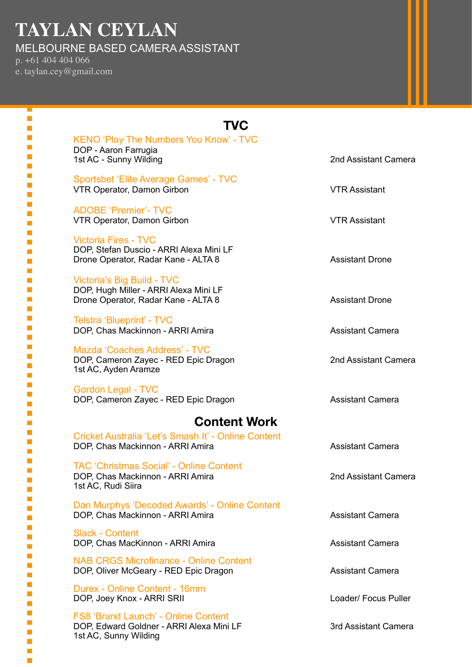# **TAYLAN CEYLAN**

MELBOURNE BASED CAMERA ASSISTANT

p. +61 404 404 066 e. taylan.cey@gmail.com

> T.  $\mathbb{R}^2$ Ī. i. ×  $\blacksquare$ a. I.  $\blacksquare$ Ē. T, п  $\blacksquare$  $\mathcal{L}_{\mathcal{A}}$ T,  $\blacksquare$  $\blacksquare$ I. I. Ē.  $\blacksquare$  $\mathcal{L}_{\mathcal{A}}$  $\blacksquare$  $\blacksquare$ Ī. П  $\blacksquare$  $\blacksquare$  $\mathcal{L}_{\mathcal{A}}$  $\overline{\mathbb{R}^2}$  $\blacksquare$ Ē.  $\blacksquare$ П  $\blacksquare$  $\mathcal{L}_{\mathcal{A}}$  $\blacksquare$ п П  $\blacksquare$  $\blacksquare$  $\blacksquare$  $\blacksquare$  $\blacksquare$ п П  $\blacksquare$ п  $\mathcal{L}_{\mathcal{A}}$  $\overline{\phantom{a}}$ п п п  $\mathcal{L}$  $\overline{\mathbb{R}}$  $\mathbb{R}^2$  $\mathcal{L}_{\mathcal{A}}$

| TVC                                                                                                             |                         |
|-----------------------------------------------------------------------------------------------------------------|-------------------------|
| <b>KENO 'Play The Numbers You Know' - TVC</b><br>DOP - Aaron Farrugia<br>1st AC - Sunny Wilding                 | 2nd Assistant Camera    |
| Sportsbet 'Elite Average Games' - TVC<br>VTR Operator, Damon Girbon                                             | <b>VTR Assistant</b>    |
| <b>ADOBE 'Premier'- TVC</b><br>VTR Operator, Damon Girbon                                                       | <b>VTR Assistant</b>    |
| <b>Victoria Fires - TVC</b><br>DOP, Stefan Duscio - ARRI Alexa Mini LF<br>Drone Operator, Radar Kane - ALTA 8   | <b>Assistant Drone</b>  |
| Victoria's Big Build - TVC<br>DOP, Hugh Miller - ARRI Alexa Mini LF<br>Drone Operator, Radar Kane - ALTA 8      | <b>Assistant Drone</b>  |
| Telstra 'Blueprint' - TVC<br>DOP, Chas Mackinnon - ARRI Amira                                                   | <b>Assistant Camera</b> |
| Mazda 'Coaches Address' - TVC<br>DOP, Cameron Zayec - RED Epic Dragon<br>1st AC, Ayden Aramze                   | 2nd Assistant Camera    |
| <b>Gordon Legal - TVC</b><br>DOP, Cameron Zayec - RED Epic Dragon                                               | <b>Assistant Camera</b> |
| <b>Content Work</b>                                                                                             |                         |
| Cricket Australia 'Let's Smash It' - Online Content<br>DOP, Chas Mackinnon - ARRI Amira                         | <b>Assistant Camera</b> |
| <b>TAC 'Christmas Social' - Online Content</b><br>DOP, Chas Mackinnon - ARRI Amira<br>1st AC, Rudi Siira        | 2nd Assistant Camera    |
| Dan Murphys 'Decoded Awards' - Online Content<br>DOP, Chas Mackinnon - ARRI Amira                               | <b>Assistant Camera</b> |
| <b>Slack - Content</b><br>DOP, Chas MacKinnon - ARRI Amira                                                      | <b>Assistant Camera</b> |
| <b>NAB CRGS Microfinance - Online Content</b><br>DOP, Oliver McGeary - RED Epic Dragon                          | <b>Assistant Camera</b> |
| Durex - Online Content - 16mm<br>DOP, Joey Knox - ARRI SRII                                                     | Loader/ Focus Puller    |
| <b>FS8 'Brand Launch' - Online Content</b><br>DOP, Edward Goldner - ARRI Alexa Mini LF<br>1st AC, Sunny Wilding | 3rd Assistant Camera    |